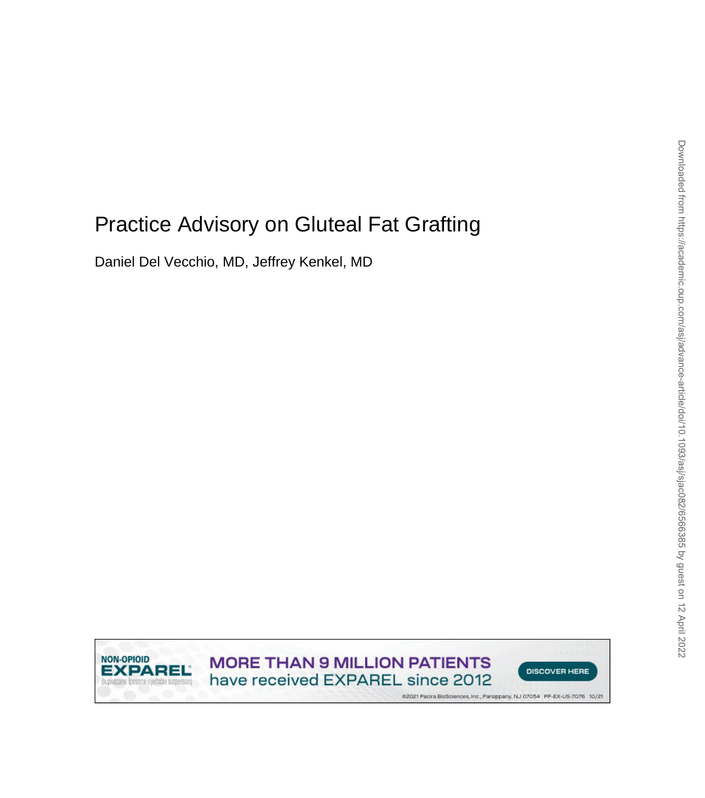# Practice Advisory on Gluteal Fat Grafting

Daniel Del Vecchio, MD, Jeffrey Kenkel, MD

**NON-OPIOID** 





@2021 Pacira BioSciences, Inc., Parsippany, NJ 07054 PP-EX-US-7076 10/21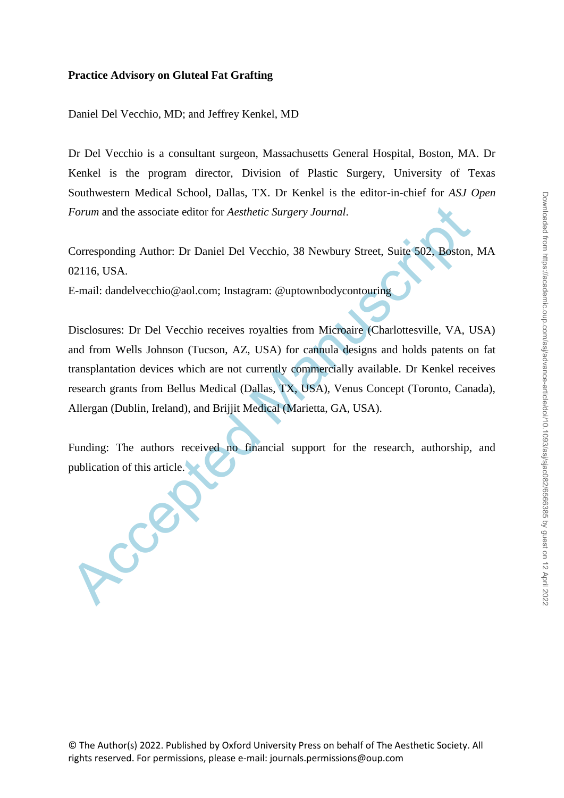# **Practice Advisory on Gluteal Fat Grafting**

Daniel Del Vecchio, MD; and Jeffrey Kenkel, MD

Dr Del Vecchio is a consultant surgeon, Massachusetts General Hospital, Boston, MA. Dr Kenkel is the program director, Division of Plastic Surgery, University of Texas Southwestern Medical School, Dallas, TX. Dr Kenkel is the editor-in-chief for *ASJ Open Forum* and the associate editor for *Aesthetic Surgery Journal*.

Corresponding Author: Dr Daniel Del Vecchio, 38 Newbury Street, Suite 502, Boston, MA 02116, USA.

E-mail: dandelvecchio@aol.com; Instagram: @uptownbodycontouring

Fortun and the associate editor for *Aesthetic Surgery Journal.*<br>
Corresponding Author: Dr Daniel Del Vecchio, 38 Newbury Street, Suite 502, Boston,<br>
02116, USA.<br>
E-mail: dandelvecchio@aol.com; Instagram: @uptownbodycontou Disclosures: Dr Del Vecchio receives royalties from Microaire (Charlottesville, VA, USA) and from Wells Johnson (Tucson, AZ, USA) for cannula designs and holds patents on fat transplantation devices which are not currently commercially available. Dr Kenkel receives research grants from Bellus Medical (Dallas, TX, USA), Venus Concept (Toronto, Canada), Allergan (Dublin, Ireland), and Brijjit Medical (Marietta, GA, USA).

Funding: The authors received no financial support for the research, authorship, and publication of this article.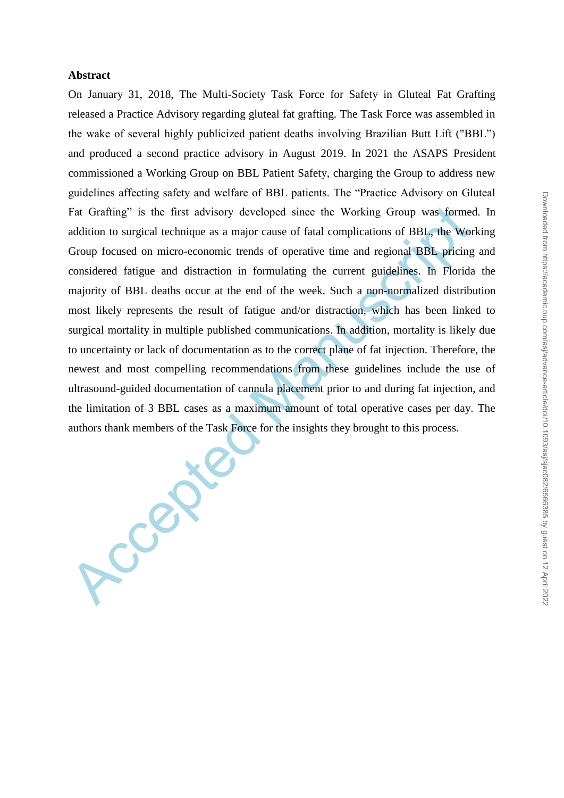#### **Abstract**

Accepted Ma

On January 31, 2018, The Multi-Society Task Force for Safety in Gluteal Fat Grafting released a Practice Advisory regarding gluteal fat grafting. The Task Force was assembled in the wake of several highly publicized patient deaths involving Brazilian Butt Lift ("BBL") and produced a second practice advisory in August 2019. In 2021 the ASAPS President commissioned a Working Group on BBL Patient Safety, charging the Group to address new guidelines affecting safety and welfare of BBL patients. The "Practice Advisory on Gluteal Fat Grafting" is the first advisory developed since the Working Group was formed. In addition to surgical technique as a major cause of fatal complications of BBL, the Working Group focused on micro-economic trends of operative time and regional BBL pricing and considered fatigue and distraction in formulating the current guidelines. In Florida the majority of BBL deaths occur at the end of the week. Such a non-normalized distribution most likely represents the result of fatigue and/or distraction, which has been linked to surgical mortality in multiple published communications. In addition, mortality is likely due to uncertainty or lack of documentation as to the correct plane of fat injection. Therefore, the newest and most compelling recommendations from these guidelines include the use of ultrasound-guided documentation of cannula placement prior to and during fat injection, and the limitation of 3 BBL cases as a maximum amount of total operative cases per day. The authors thank members of the Task Force for the insights they brought to this process.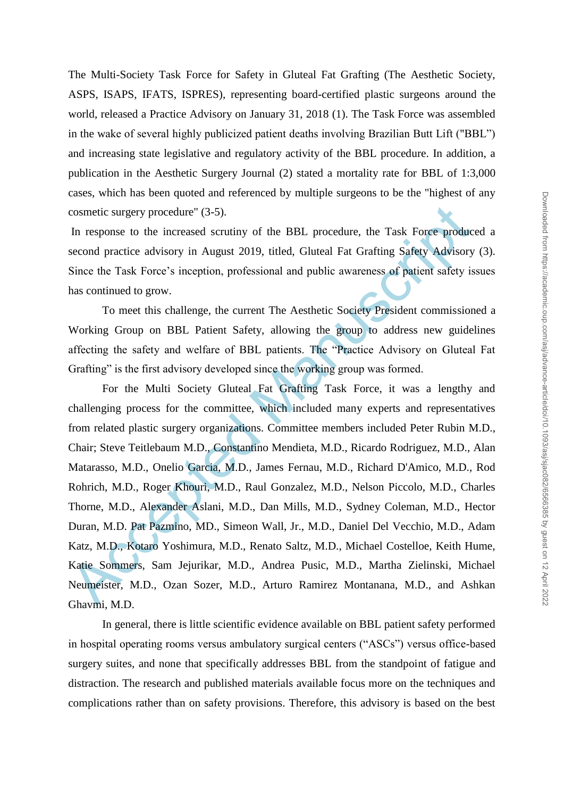The Multi-Society Task Force for Safety in Gluteal Fat Grafting (The Aesthetic Society, ASPS, ISAPS, IFATS, ISPRES), representing board-certified plastic surgeons around the world, released a Practice Advisory on January 31, 2018 (1). The Task Force was assembled in the wake of several highly publicized patient deaths involving Brazilian Butt Lift ("BBL") and increasing state legislative and regulatory activity of the BBL procedure. In addition, a publication in the Aesthetic Surgery Journal (2) stated a mortality rate for BBL of 1:3,000 cases, which has been quoted and referenced by multiple surgeons to be the "highest of any cosmetic surgery procedure" (3-5).

In response to the increased scrutiny of the BBL procedure, the Task Force produced a second practice advisory in August 2019, titled, Gluteal Fat Grafting Safety Advisory (3). Since the Task Force's inception, professional and public awareness of patient safety issues has continued to grow.

To meet this challenge, the current The Aesthetic Society President commissioned a Working Group on BBL Patient Safety, allowing the group to address new guidelines affecting the safety and welfare of BBL patients. The "Practice Advisory on Gluteal Fat Grafting" is the first advisory developed since the working group was formed.

cosmetic surgery procedure" (3-5).<br>
In response to the increased scrutiny of the BBL procedure, the Task Force produce<br>
second practice advisory in August 2019, titled, Gluteal Fat Grafting Safety Advisory<br>
Since the Task For the Multi Society Gluteal Fat Grafting Task Force, it was a lengthy and challenging process for the committee, which included many experts and representatives from related plastic surgery organizations. Committee members included Peter Rubin M.D., Chair; Steve Teitlebaum M.D., Constantino Mendieta, M.D., Ricardo Rodriguez, M.D., Alan Matarasso, M.D., Onelio Garcia, M.D., James Fernau, M.D., Richard D'Amico, M.D., Rod Rohrich, M.D., Roger Khouri, M.D., Raul Gonzalez, M.D., Nelson Piccolo, M.D., Charles Thorne, M.D., Alexander Aslani, M.D., Dan Mills, M.D., Sydney Coleman, M.D., Hector Duran, M.D. Pat Pazmino, MD., Simeon Wall, Jr., M.D., Daniel Del Vecchio, M.D., Adam Katz, M.D., Kotaro Yoshimura, M.D., Renato Saltz, M.D., Michael Costelloe, Keith Hume, Katie Sommers, Sam Jejurikar, M.D., Andrea Pusic, M.D., Martha Zielinski, Michael Neumeister, M.D., Ozan Sozer, M.D., Arturo Ramirez Montanana, M.D., and Ashkan Ghavmi, M.D.

In general, there is little scientific evidence available on BBL patient safety performed in hospital operating rooms versus ambulatory surgical centers ("ASCs") versus office-based surgery suites, and none that specifically addresses BBL from the standpoint of fatigue and distraction. The research and published materials available focus more on the techniques and complications rather than on safety provisions. Therefore, this advisory is based on the best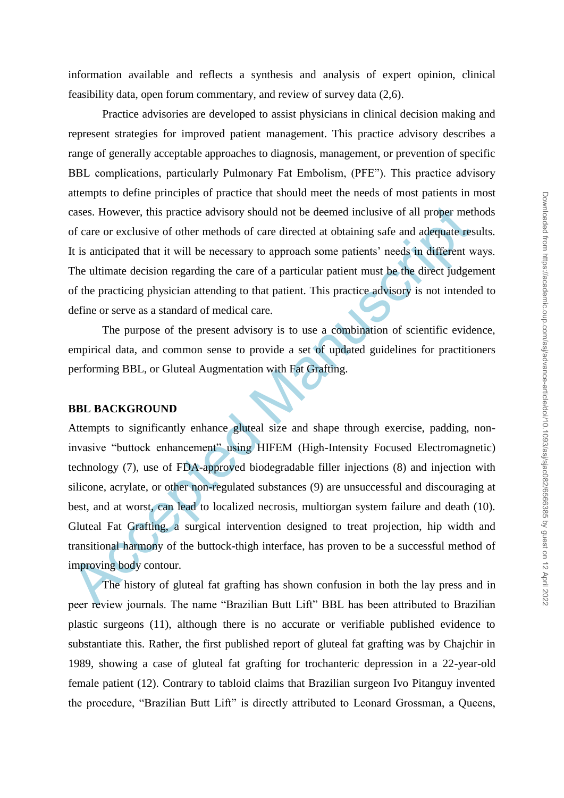information available and reflects a synthesis and analysis of expert opinion, clinical feasibility data, open forum commentary, and review of survey data (2,6).

Practice advisories are developed to assist physicians in clinical decision making and represent strategies for improved patient management. This practice advisory describes a range of generally acceptable approaches to diagnosis, management, or prevention of specific BBL complications, particularly Pulmonary Fat Embolism, (PFE"). This practice advisory attempts to define principles of practice that should meet the needs of most patients in most cases. However, this practice advisory should not be deemed inclusive of all proper methods of care or exclusive of other methods of care directed at obtaining safe and adequate results. It is anticipated that it will be necessary to approach some patients' needs in different ways. The ultimate decision regarding the care of a particular patient must be the direct judgement of the practicing physician attending to that patient. This practice advisory is not intended to define or serve as a standard of medical care.

The purpose of the present advisory is to use a combination of scientific evidence, empirical data, and common sense to provide a set of updated guidelines for practitioners performing BBL, or Gluteal Augmentation with Fat Grafting.

#### **BBL BACKGROUND**

cases. However, this practice advisory should not be deemed inclusive of all proper met<br>of care or exclusive of other methods of care directed at obtaining safe and adequate res<br>It is anticipated that it will be necessary Attempts to significantly enhance gluteal size and shape through exercise, padding, noninvasive "buttock enhancement" using HIFEM (High-Intensity Focused Electromagnetic) technology (7), use of FDA-approved biodegradable filler injections (8) and injection with silicone, acrylate, or other non-regulated substances (9) are unsuccessful and discouraging at best, and at worst, can lead to localized necrosis, multiorgan system failure and death (10). Gluteal Fat Grafting, a surgical intervention designed to treat projection, hip width and transitional harmony of the buttock-thigh interface, has proven to be a successful method of improving body contour.

The history of gluteal fat grafting has shown confusion in both the lay press and in peer review journals. The name "Brazilian Butt Lift" BBL has been attributed to Brazilian plastic surgeons (11), although there is no accurate or verifiable published evidence to substantiate this. Rather, the first published report of gluteal fat grafting was by Chajchir in 1989, showing a case of gluteal fat grafting for trochanteric depression in a 22-year-old female patient (12). Contrary to tabloid claims that Brazilian surgeon Ivo Pitanguy invented the procedure, "Brazilian Butt Lift" is directly attributed to Leonard Grossman, a Queens,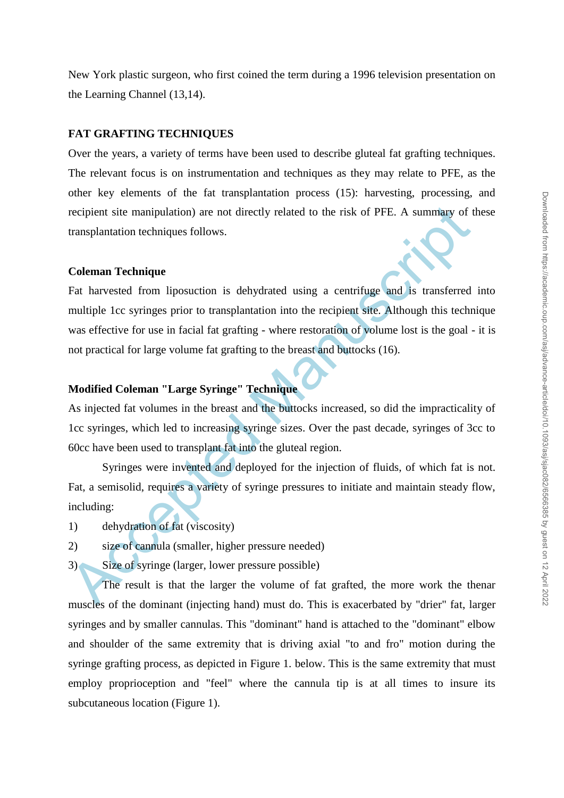New York plastic surgeon, who first coined the term during a 1996 television presentation on the Learning Channel (13,14).

# **FAT GRAFTING TECHNIQUES**

Over the years, a variety of terms have been used to describe gluteal fat grafting techniques. The relevant focus is on instrumentation and techniques as they may relate to PFE, as the other key elements of the fat transplantation process (15): harvesting, processing, and recipient site manipulation) are not directly related to the risk of PFE. A summary of these transplantation techniques follows.

#### **Coleman Technique**

recipient site manipulation) are not directly related to the risk of PFE. A summary of transplantation techniques follows.<br>
Coleman Technique<br>
Fat harvested from liposuction is dehydrated using a centrifuge and is transfer Fat harvested from liposuction is dehydrated using a centrifuge and is transferred into multiple 1cc syringes prior to transplantation into the recipient site. Although this technique was effective for use in facial fat grafting - where restoration of volume lost is the goal - it is not practical for large volume fat grafting to the breast and buttocks (16).

#### **Modified Coleman "Large Syringe" Technique**

As injected fat volumes in the breast and the buttocks increased, so did the impracticality of 1cc syringes, which led to increasing syringe sizes. Over the past decade, syringes of 3cc to 60cc have been used to transplant fat into the gluteal region.

Syringes were invented and deployed for the injection of fluids, of which fat is not. Fat, a semisolid, requires a variety of syringe pressures to initiate and maintain steady flow, including:

- 1) dehydration of fat (viscosity)
- 2) size of cannula (smaller, higher pressure needed)
- 3) Size of syringe (larger, lower pressure possible)

The result is that the larger the volume of fat grafted, the more work the thenar muscles of the dominant (injecting hand) must do. This is exacerbated by "drier" fat, larger syringes and by smaller cannulas. This "dominant" hand is attached to the "dominant" elbow and shoulder of the same extremity that is driving axial "to and fro" motion during the syringe grafting process, as depicted in Figure 1. below. This is the same extremity that must employ proprioception and "feel" where the cannula tip is at all times to insure its subcutaneous location (Figure 1).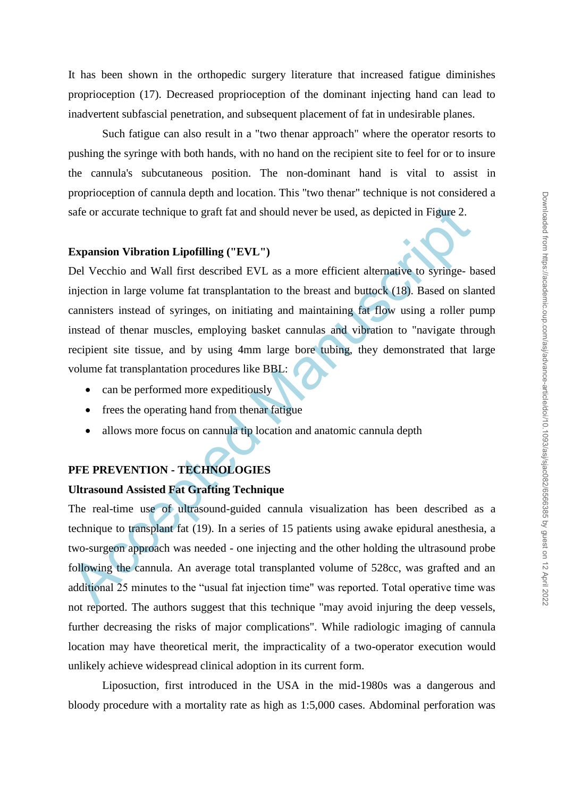It has been shown in the orthopedic surgery literature that increased fatigue diminishes proprioception (17). Decreased proprioception of the dominant injecting hand can lead to inadvertent subfascial penetration, and subsequent placement of fat in undesirable planes.

Such fatigue can also result in a "two thenar approach" where the operator resorts to pushing the syringe with both hands, with no hand on the recipient site to feel for or to insure the cannula's subcutaneous position. The non-dominant hand is vital to assist in proprioception of cannula depth and location. This "two thenar" technique is not considered a safe or accurate technique to graft fat and should never be used, as depicted in Figure 2.

#### **Expansion Vibration Lipofilling ("EVL")**

safe or accurate technique to graft fat and should never be used, as depicted in Figure 2.<br> **Expansion Vibration Lipofilling** ("EVL")<br>
Del Vecchio and Wall first described EVL as a more efficient alternative to syringe-b<br> Del Vecchio and Wall first described EVL as a more efficient alternative to syringe- based injection in large volume fat transplantation to the breast and buttock (18). Based on slanted cannisters instead of syringes, on initiating and maintaining fat flow using a roller pump instead of thenar muscles, employing basket cannulas and vibration to "navigate through recipient site tissue, and by using 4mm large bore tubing, they demonstrated that large volume fat transplantation procedures like BBL:

- can be performed more expeditiously
- frees the operating hand from thenar fatigue
- allows more focus on cannula tip location and anatomic cannula depth

#### **PFE PREVENTION - TECHNOLOGIES**

#### **Ultrasound Assisted Fat Grafting Technique**

The real-time use of ultrasound-guided cannula visualization has been described as a technique to transplant fat (19). In a series of 15 patients using awake epidural anesthesia, a two-surgeon approach was needed - one injecting and the other holding the ultrasound probe following the cannula. An average total transplanted volume of 528cc, was grafted and an additional 25 minutes to the "usual fat injection time" was reported. Total operative time was not reported. The authors suggest that this technique "may avoid injuring the deep vessels, further decreasing the risks of major complications". While radiologic imaging of cannula location may have theoretical merit, the impracticality of a two-operator execution would unlikely achieve widespread clinical adoption in its current form.

Liposuction, first introduced in the USA in the mid-1980s was a dangerous and bloody procedure with a mortality rate as high as 1:5,000 cases. Abdominal perforation was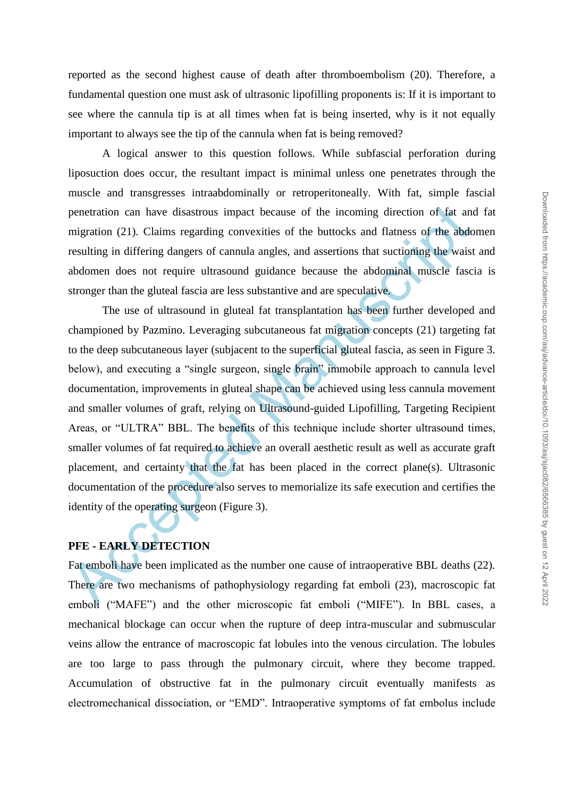reported as the second highest cause of death after thromboembolism (20). Therefore, a fundamental question one must ask of ultrasonic lipofilling proponents is: If it is important to see where the cannula tip is at all times when fat is being inserted, why is it not equally important to always see the tip of the cannula when fat is being removed?

A logical answer to this question follows. While subfascial perforation during liposuction does occur, the resultant impact is minimal unless one penetrates through the muscle and transgresses intraabdominally or retroperitoneally. With fat, simple fascial penetration can have disastrous impact because of the incoming direction of fat and fat migration (21). Claims regarding convexities of the buttocks and flatness of the abdomen resulting in differing dangers of cannula angles, and assertions that suctioning the waist and abdomen does not require ultrasound guidance because the abdominal muscle fascia is stronger than the gluteal fascia are less substantive and are speculative.

penetration can have disastrous impact because of the incoming direction of fat an migration (21). Claims regarding convexities of the buttocks and flatness of the abdo<br>resulting in differing dangers of cannula angles, and The use of ultrasound in gluteal fat transplantation has been further developed and championed by Pazmino. Leveraging subcutaneous fat migration concepts (21) targeting fat to the deep subcutaneous layer (subjacent to the superficial gluteal fascia, as seen in Figure 3. below), and executing a "single surgeon, single brain" immobile approach to cannula level documentation, improvements in gluteal shape can be achieved using less cannula movement and smaller volumes of graft, relying on Ultrasound-guided Lipofilling, Targeting Recipient Areas, or "ULTRA" BBL. The benefits of this technique include shorter ultrasound times, smaller volumes of fat required to achieve an overall aesthetic result as well as accurate graft placement, and certainty that the fat has been placed in the correct plane(s). Ultrasonic documentation of the procedure also serves to memorialize its safe execution and certifies the identity of the operating surgeon (Figure 3).

# **PFE - EARLY DETECTION**

Fat emboli have been implicated as the number one cause of intraoperative BBL deaths (22). There are two mechanisms of pathophysiology regarding fat emboli (23), macroscopic fat emboli ("MAFE") and the other microscopic fat emboli ("MIFE"). In BBL cases, a mechanical blockage can occur when the rupture of deep intra-muscular and submuscular veins allow the entrance of macroscopic fat lobules into the venous circulation. The lobules are too large to pass through the pulmonary circuit, where they become trapped. Accumulation of obstructive fat in the pulmonary circuit eventually manifests as electromechanical dissociation, or "EMD". Intraoperative symptoms of fat embolus include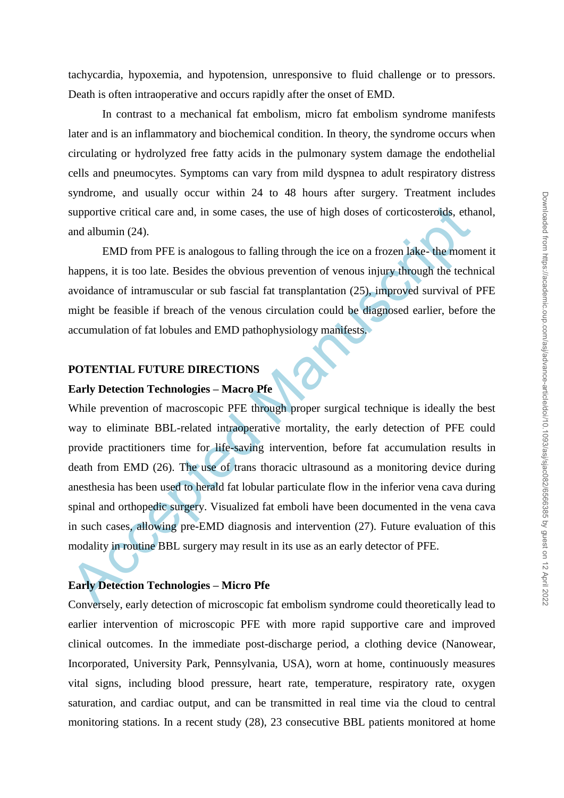tachycardia, hypoxemia, and hypotension, unresponsive to fluid challenge or to pressors. Death is often intraoperative and occurs rapidly after the onset of EMD.

In contrast to a mechanical fat embolism, micro fat embolism syndrome manifests later and is an inflammatory and biochemical condition. In theory, the syndrome occurs when circulating or hydrolyzed free fatty acids in the pulmonary system damage the endothelial cells and pneumocytes. Symptoms can vary from mild dyspnea to adult respiratory distress syndrome, and usually occur within 24 to 48 hours after surgery. Treatment includes supportive critical care and, in some cases, the use of high doses of corticosteroids, ethanol, and albumin (24).

EMD from PFE is analogous to falling through the ice on a frozen lake- the moment it happens, it is too late. Besides the obvious prevention of venous injury through the technical avoidance of intramuscular or sub fascial fat transplantation (25), improved survival of PFE might be feasible if breach of the venous circulation could be diagnosed earlier, before the accumulation of fat lobules and EMD pathophysiology manifests.

#### **POTENTIAL FUTURE DIRECTIONS**

#### **Early Detection Technologies – Macro Pfe**

supportive critical care and, in some cases, the use of high doses of corticosteroids, eth,<br>and albumin (24).<br>EMD from PFE is analogous to falling through the ice on a frozen lake- the mome<br>happens, it is too late. Besides While prevention of macroscopic PFE through proper surgical technique is ideally the best way to eliminate BBL-related intraoperative mortality, the early detection of PFE could provide practitioners time for life-saving intervention, before fat accumulation results in death from EMD (26). The use of trans thoracic ultrasound as a monitoring device during anesthesia has been used to herald fat lobular particulate flow in the inferior vena cava during spinal and orthopedic surgery. Visualized fat emboli have been documented in the vena cava in such cases, allowing pre-EMD diagnosis and intervention (27). Future evaluation of this modality in routine BBL surgery may result in its use as an early detector of PFE.

#### **Early Detection Technologies – Micro Pfe**

Conversely, early detection of microscopic fat embolism syndrome could theoretically lead to earlier intervention of microscopic PFE with more rapid supportive care and improved clinical outcomes. In the immediate post-discharge period, a clothing device (Nanowear, Incorporated, University Park, Pennsylvania, USA), worn at home, continuously measures vital signs, including blood pressure, heart rate, temperature, respiratory rate, oxygen saturation, and cardiac output, and can be transmitted in real time via the cloud to central monitoring stations. In a recent study (28), 23 consecutive BBL patients monitored at home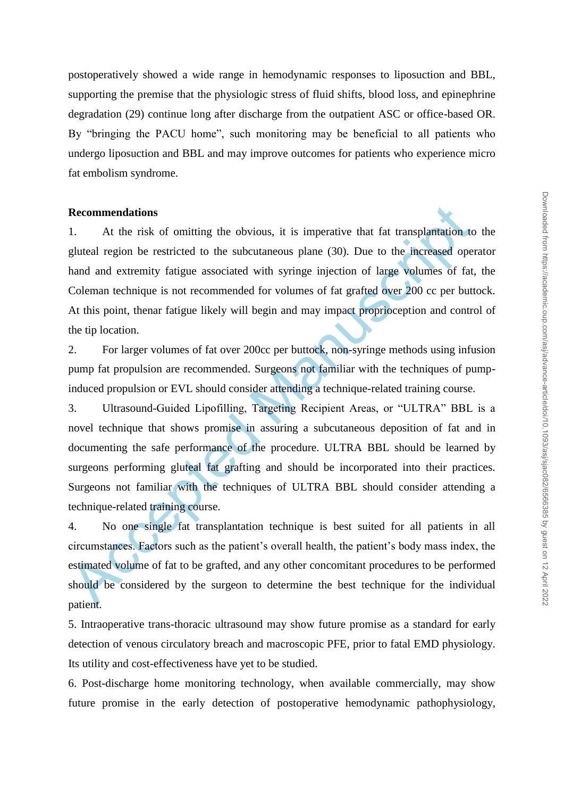postoperatively showed a wide range in hemodynamic responses to liposuction and BBL, supporting the premise that the physiologic stress of fluid shifts, blood loss, and epinephrine degradation (29) continue long after discharge from the outpatient ASC or office-based OR. By "bringing the PACU home", such monitoring may be beneficial to all patients who undergo liposuction and BBL and may improve outcomes for patients who experience micro fat embolism syndrome.

#### **Recommendations**

1. At the risk of omitting the obvious, it is imperative that fat transplantation to the gluteal region be restricted to the subcutaneous plane (30). Due to the increased operator hand and extremity fatigue associated with syringe injection of large volumes of fat, the Coleman technique is not recommended for volumes of fat grafted over 200 cc per buttock. At this point, thenar fatigue likely will begin and may impact proprioception and control of the tip location.

2. For larger volumes of fat over 200cc per buttock, non-syringe methods using infusion pump fat propulsion are recommended. Surgeons not familiar with the techniques of pumpinduced propulsion or EVL should consider attending a technique-related training course.

Recommendations<br>
1. At the risk of omitting the obvious, it is imperative that fat transplantation to<br>
gluteal region be restricted to the subcutaneous plane (30). Due to the increased oper<br>
hand and extremity fatigue asso 3. Ultrasound-Guided Lipofilling, Targeting Recipient Areas, or "ULTRA" BBL is a novel technique that shows promise in assuring a subcutaneous deposition of fat and in documenting the safe performance of the procedure. ULTRA BBL should be learned by surgeons performing gluteal fat grafting and should be incorporated into their practices. Surgeons not familiar with the techniques of ULTRA BBL should consider attending a technique-related training course.

4. No one single fat transplantation technique is best suited for all patients in all circumstances. Factors such as the patient's overall health, the patient's body mass index, the estimated volume of fat to be grafted, and any other concomitant procedures to be performed should be considered by the surgeon to determine the best technique for the individual patient.

5. Intraoperative trans-thoracic ultrasound may show future promise as a standard for early detection of venous circulatory breach and macroscopic PFE, prior to fatal EMD physiology. Its utility and cost-effectiveness have yet to be studied.

6. Post-discharge home monitoring technology, when available commercially, may show future promise in the early detection of postoperative hemodynamic pathophysiology,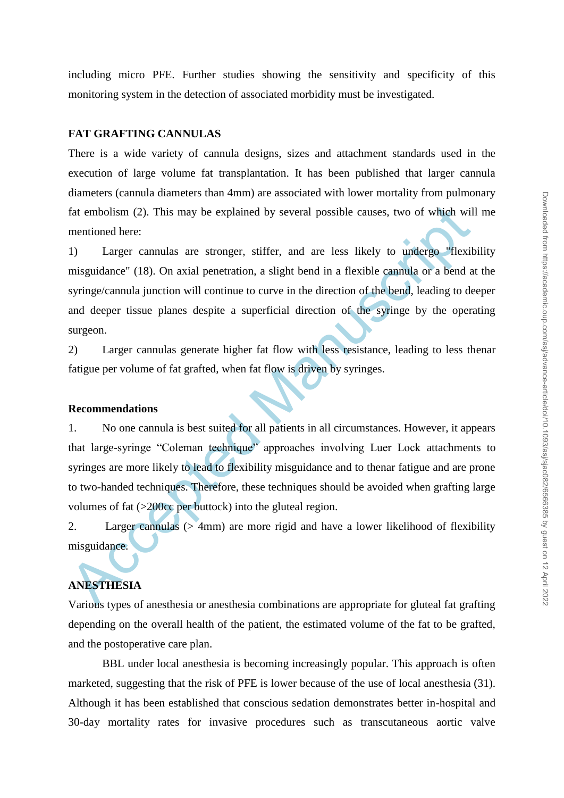including micro PFE. Further studies showing the sensitivity and specificity of this monitoring system in the detection of associated morbidity must be investigated.

# **FAT GRAFTING CANNULAS**

There is a wide variety of cannula designs, sizes and attachment standards used in the execution of large volume fat transplantation. It has been published that larger cannula diameters (cannula diameters than 4mm) are associated with lower mortality from pulmonary fat embolism (2). This may be explained by several possible causes, two of which will me mentioned here:

1) Larger cannulas are stronger, stiffer, and are less likely to undergo "flexibility misguidance" (18). On axial penetration, a slight bend in a flexible cannula or a bend at the syringe/cannula junction will continue to curve in the direction of the bend, leading to deeper and deeper tissue planes despite a superficial direction of the syringe by the operating surgeon.

2) Larger cannulas generate higher fat flow with less resistance, leading to less thenar fatigue per volume of fat grafted, when fat flow is driven by syringes.

#### **Recommendations**

fat embolism (2). This may be explained by several possible causes, two of which will<br>mentioned here:<br>
1) Larger cannulas are stronger, stiffer, and are less likely to undergo "flexit<br>
misguidance" (18). On axial penetrat 1. No one cannula is best suited for all patients in all circumstances. However, it appears that large-syringe "Coleman technique" approaches involving Luer Lock attachments to syringes are more likely to lead to flexibility misguidance and to thenar fatigue and are prone to two-handed techniques. Therefore, these techniques should be avoided when grafting large volumes of fat (>200cc per buttock) into the gluteal region.

2. Larger cannulas (> 4mm) are more rigid and have a lower likelihood of flexibility misguidance.

# **ANESTHESIA**

Various types of anesthesia or anesthesia combinations are appropriate for gluteal fat grafting depending on the overall health of the patient, the estimated volume of the fat to be grafted, and the postoperative care plan.

BBL under local anesthesia is becoming increasingly popular. This approach is often marketed, suggesting that the risk of PFE is lower because of the use of local anesthesia (31). Although it has been established that conscious sedation demonstrates better in-hospital and 30-day mortality rates for invasive procedures such as transcutaneous aortic valve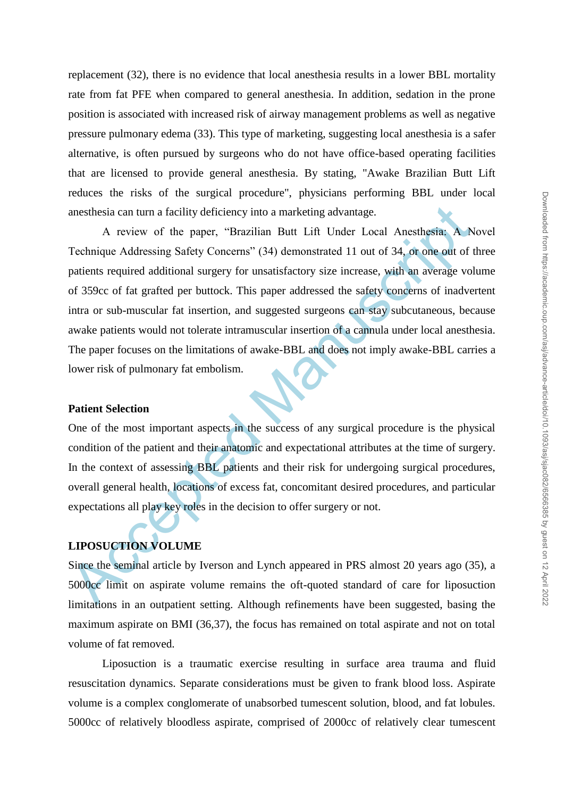replacement (32), there is no evidence that local anesthesia results in a lower BBL mortality rate from fat PFE when compared to general anesthesia. In addition, sedation in the prone position is associated with increased risk of airway management problems as well as negative pressure pulmonary edema (33). This type of marketing, suggesting local anesthesia is a safer alternative, is often pursued by surgeons who do not have office-based operating facilities that are licensed to provide general anesthesia. By stating, "Awake Brazilian Butt Lift reduces the risks of the surgical procedure", physicians performing BBL under local anesthesia can turn a facility deficiency into a marketing advantage.

anesthesia can turn a facility deficiency into a marketing advantage.<br>
A review of the paper, "Brazilian But Lift Under Local Anesthesia: A N<br>
Technique Addressing Safety Concerns" (34) demonstrated 11 out of 34, or one ou A review of the paper, "Brazilian Butt Lift Under Local Anesthesia: A Novel Technique Addressing Safety Concerns" (34) demonstrated 11 out of 34, or one out of three patients required additional surgery for unsatisfactory size increase, with an average volume of 359cc of fat grafted per buttock. This paper addressed the safety concerns of inadvertent intra or sub-muscular fat insertion, and suggested surgeons can stay subcutaneous, because awake patients would not tolerate intramuscular insertion of a cannula under local anesthesia. The paper focuses on the limitations of awake-BBL and does not imply awake-BBL carries a lower risk of pulmonary fat embolism.

#### **Patient Selection**

One of the most important aspects in the success of any surgical procedure is the physical condition of the patient and their anatomic and expectational attributes at the time of surgery. In the context of assessing BBL patients and their risk for undergoing surgical procedures, overall general health, locations of excess fat, concomitant desired procedures, and particular expectations all play key roles in the decision to offer surgery or not.

# **LIPOSUCTION VOLUME**

Since the seminal article by Iverson and Lynch appeared in PRS almost 20 years ago (35), a 5000cc limit on aspirate volume remains the oft-quoted standard of care for liposuction limitations in an outpatient setting. Although refinements have been suggested, basing the maximum aspirate on BMI (36,37), the focus has remained on total aspirate and not on total volume of fat removed.

Liposuction is a traumatic exercise resulting in surface area trauma and fluid resuscitation dynamics. Separate considerations must be given to frank blood loss. Aspirate volume is a complex conglomerate of unabsorbed tumescent solution, blood, and fat lobules. 5000cc of relatively bloodless aspirate, comprised of 2000cc of relatively clear tumescent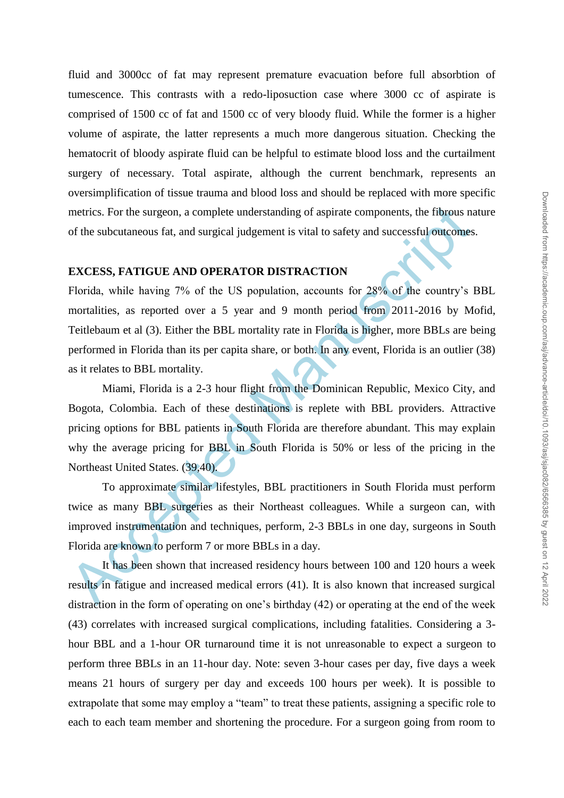fluid and 3000cc of fat may represent premature evacuation before full absorbtion of tumescence. This contrasts with a redo-liposuction case where 3000 cc of aspirate is comprised of 1500 cc of fat and 1500 cc of very bloody fluid. While the former is a higher volume of aspirate, the latter represents a much more dangerous situation. Checking the hematocrit of bloody aspirate fluid can be helpful to estimate blood loss and the curtailment surgery of necessary. Total aspirate, although the current benchmark, represents an oversimplification of tissue trauma and blood loss and should be replaced with more specific metrics. For the surgeon, a complete understanding of aspirate components, the fibrous nature of the subcutaneous fat, and surgical judgement is vital to safety and successful outcomes.

#### **EXCESS, FATIGUE AND OPERATOR DISTRACTION**

metrics. For the surgeon, a complete understanding of aspirate components, the fibrous not of the subcutaneous fat, and surgical judgement is vital to safety and successful outcomes<br> **EXCESS, FATIGUE AND OPERATOR DISTRACTI** Florida, while having 7% of the US population, accounts for 28% of the country's BBL mortalities, as reported over a 5 year and 9 month period from 2011-2016 by Mofid, Teitlebaum et al (3). Either the BBL mortality rate in Florida is higher, more BBLs are being performed in Florida than its per capita share, or both. In any event, Florida is an outlier (38) as it relates to BBL mortality.

Miami, Florida is a 2-3 hour flight from the Dominican Republic, Mexico City, and Bogota, Colombia. Each of these destinations is replete with BBL providers. Attractive pricing options for BBL patients in South Florida are therefore abundant. This may explain why the average pricing for BBL in South Florida is 50% or less of the pricing in the Northeast United States. (39,40).

To approximate similar lifestyles, BBL practitioners in South Florida must perform twice as many BBL surgeries as their Northeast colleagues. While a surgeon can, with improved instrumentation and techniques, perform, 2-3 BBLs in one day, surgeons in South Florida are known to perform 7 or more BBLs in a day.

It has been shown that increased residency hours between 100 and 120 hours a week results in fatigue and increased medical errors (41). It is also known that increased surgical distraction in the form of operating on one's birthday (42) or operating at the end of the week (43) correlates with increased surgical complications, including fatalities. Considering a 3 hour BBL and a 1-hour OR turnaround time it is not unreasonable to expect a surgeon to perform three BBLs in an 11-hour day. Note: seven 3-hour cases per day, five days a week means 21 hours of surgery per day and exceeds 100 hours per week). It is possible to extrapolate that some may employ a "team" to treat these patients, assigning a specific role to each to each team member and shortening the procedure. For a surgeon going from room to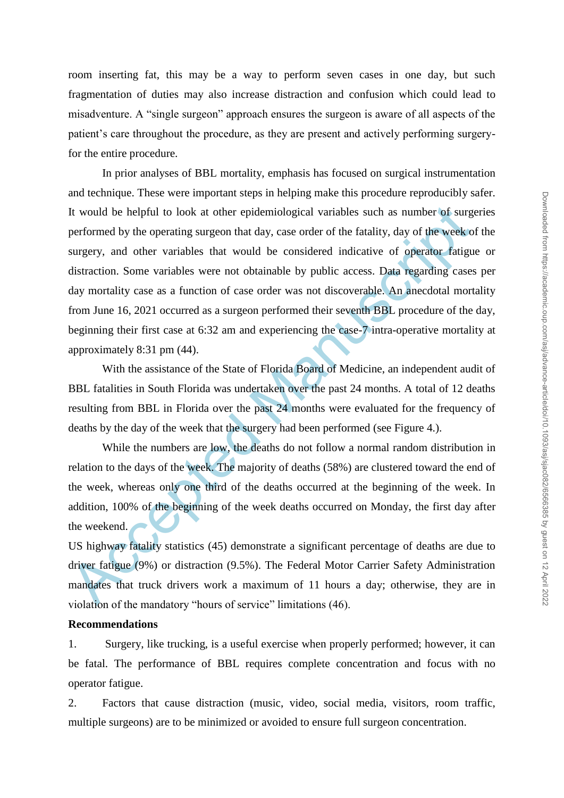room inserting fat, this may be a way to perform seven cases in one day, but such fragmentation of duties may also increase distraction and confusion which could lead to misadventure. A "single surgeon" approach ensures the surgeon is aware of all aspects of the patient's care throughout the procedure, as they are present and actively performing surgeryfor the entire procedure.

It would be helpful to look at other epidemiological variables such as number of surger<br>performed by the operating surgeon that day, case order of the fatality, day of the week o<br>surgery, and other variables that would be In prior analyses of BBL mortality, emphasis has focused on surgical instrumentation and technique. These were important steps in helping make this procedure reproducibly safer. It would be helpful to look at other epidemiological variables such as number of surgeries performed by the operating surgeon that day, case order of the fatality, day of the week of the surgery, and other variables that would be considered indicative of operator fatigue or distraction. Some variables were not obtainable by public access. Data regarding cases per day mortality case as a function of case order was not discoverable. An anecdotal mortality from June 16, 2021 occurred as a surgeon performed their seventh BBL procedure of the day, beginning their first case at 6:32 am and experiencing the case-7 intra-operative mortality at approximately 8:31 pm (44).

With the assistance of the State of Florida Board of Medicine, an independent audit of BBL fatalities in South Florida was undertaken over the past 24 months. A total of 12 deaths resulting from BBL in Florida over the past 24 months were evaluated for the frequency of deaths by the day of the week that the surgery had been performed (see Figure 4.).

While the numbers are low, the deaths do not follow a normal random distribution in relation to the days of the week. The majority of deaths (58%) are clustered toward the end of the week, whereas only one third of the deaths occurred at the beginning of the week. In addition, 100% of the beginning of the week deaths occurred on Monday, the first day after the weekend.

US highway fatality statistics (45) demonstrate a significant percentage of deaths are due to driver fatigue (9%) or distraction (9.5%). The Federal Motor Carrier Safety Administration mandates that truck drivers work a maximum of 11 hours a day; otherwise, they are in violation of the mandatory "hours of service" limitations (46).

# **Recommendations**

1. Surgery, like trucking, is a useful exercise when properly performed; however, it can be fatal. The performance of BBL requires complete concentration and focus with no operator fatigue.

2. Factors that cause distraction (music, video, social media, visitors, room traffic, multiple surgeons) are to be minimized or avoided to ensure full surgeon concentration.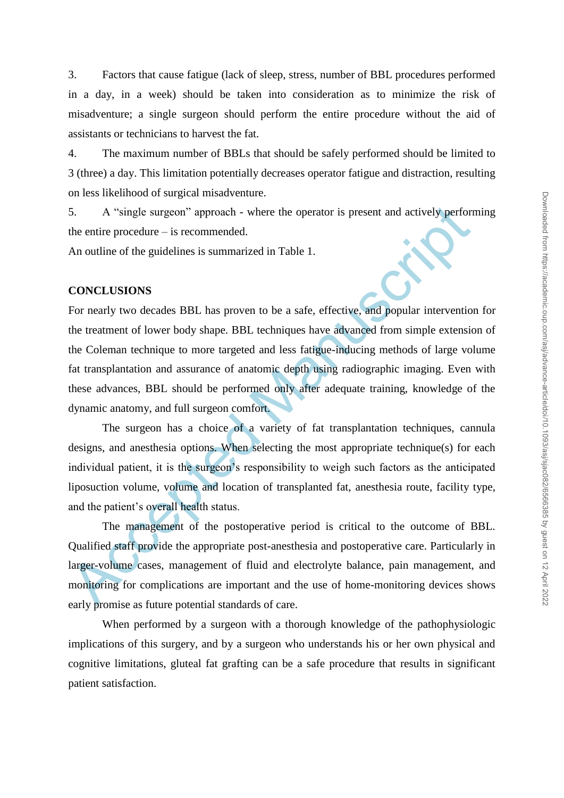3. Factors that cause fatigue (lack of sleep, stress, number of BBL procedures performed in a day, in a week) should be taken into consideration as to minimize the risk of misadventure; a single surgeon should perform the entire procedure without the aid of assistants or technicians to harvest the fat.

4. The maximum number of BBLs that should be safely performed should be limited to 3 (three) a day. This limitation potentially decreases operator fatigue and distraction, resulting on less likelihood of surgical misadventure.

5. A "single surgeon" approach - where the operator is present and actively performing the entire procedure – is recommended.

An outline of the guidelines is summarized in Table 1.

#### **CONCLUSIONS**

5. A "single surgeon" approach - where the operator is present and actively perform<br>the entire procedure – is recommended.<br>An outline of the guidelines is summarized in Table 1.<br>CONCLUSIONS<br>For nearly two decades BBL has p For nearly two decades BBL has proven to be a safe, effective, and popular intervention for the treatment of lower body shape. BBL techniques have advanced from simple extension of the Coleman technique to more targeted and less fatigue-inducing methods of large volume fat transplantation and assurance of anatomic depth using radiographic imaging. Even with these advances, BBL should be performed only after adequate training, knowledge of the dynamic anatomy, and full surgeon comfort.

The surgeon has a choice of a variety of fat transplantation techniques, cannula designs, and anesthesia options. When selecting the most appropriate technique(s) for each individual patient, it is the surgeon's responsibility to weigh such factors as the anticipated liposuction volume, volume and location of transplanted fat, anesthesia route, facility type, and the patient's overall health status.

The management of the postoperative period is critical to the outcome of BBL. Qualified staff provide the appropriate post-anesthesia and postoperative care. Particularly in larger-volume cases, management of fluid and electrolyte balance, pain management, and monitoring for complications are important and the use of home-monitoring devices shows early promise as future potential standards of care.

When performed by a surgeon with a thorough knowledge of the pathophysiologic implications of this surgery, and by a surgeon who understands his or her own physical and cognitive limitations, gluteal fat grafting can be a safe procedure that results in significant patient satisfaction.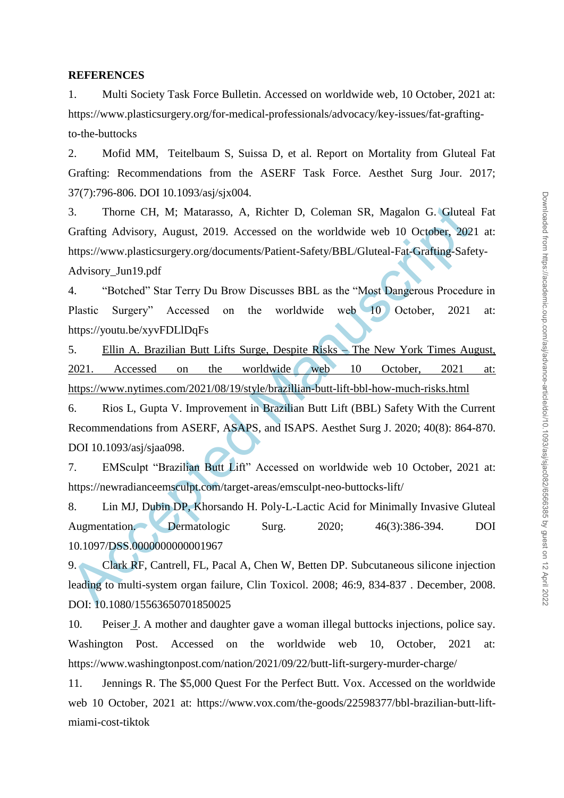#### **REFERENCES**

1. Multi Society Task Force Bulletin. Accessed on worldwide web, 10 October, 2021 at: https://www.plasticsurgery.org/for-medical-professionals/advocacy/key-issues/fat-graftingto-the-buttocks

2. Mofid MM, Teitelbaum S, Suissa D, et al. Report on Mortality from Gluteal Fat Grafting: Recommendations from the ASERF Task Force. Aesthet Surg Jour. 2017; 37(7):796-806. DOI 10.1093/asj/sjx004.

3. Thome CH, M; Mataraso, A, Richter D, Coleman SR, Magalon G. Gluteal<br>
Grafting Advisory, August, 2019. Accessed on the worldwide web 10 October, 202<br>
https://www.plasticsurgery.org/documents/Patient-Safety/BBL/Gluteal-Fa 3. Thorne CH, M; Matarasso, A, Richter D, Coleman SR, Magalon G. Gluteal Fat Grafting Advisory, August, 2019. Accessed on the worldwide web 10 October, 2021 at: https://www.plasticsurgery.org/documents/Patient-Safety/BBL/Gluteal-Fat-Grafting-Safety-Advisory\_Jun19.pdf

4. 
"Botched" Star Terry Du Brow Discusses BBL as the "Most Dangerous Procedure in Plastic Surgery" Accessed on the worldwide web 10 October, 2021 at: https://youtu.be/xyvFDLlDqFs

5. Ellin A. Brazilian Butt Lifts Surge, Despite Risks – The New York Times August, 2021. Accessed on the worldwide web 10 October, 2021 at: https://www.nytimes.com/2021/08/19/style/brazillian-butt-lift-bbl-how-much-risks.html

6. Rios L, Gupta V. Improvement in Brazilian Butt Lift (BBL) Safety With the Current Recommendations from ASERF, ASAPS, and ISAPS. Aesthet Surg J. 2020; 40(8): 864-870. DOI 10.1093/asj/sjaa098.

7. EMSculpt "Brazilian Butt Lift" Accessed on worldwide web 10 October, 2021 at: https://newradianceemsculpt.com/target-areas/emsculpt-neo-buttocks-lift/

8. Lin MJ, Dubin DP, Khorsando H. Poly-L-Lactic Acid for Minimally Invasive Gluteal Augmentation. Dermatologic Surg. 2020; 46(3):386-394. DOI 10.1097/DSS.0000000000001967

9. Clark RF, Cantrell, FL, Pacal A, Chen W, Betten DP. Subcutaneous silicone injection leading to multi-system organ failure, Clin Toxicol. 2008; 46:9, 834-837 . December, 2008. DOI: 10.1080/15563650701850025

10. Peiser J. A mother and daughter gave a woman illegal buttocks injections, police say. Washington Post. Accessed on the worldwide web 10, October, 2021 at: https://www.washingtonpost.com/nation/2021/09/22/butt-lift-surgery-murder-charge/

11. Jennings R. The \$5,000 Quest For the Perfect Butt. Vox. Accessed on the worldwide web 10 October, 2021 at: https://www.vox.com/the-goods/22598377/bbl-brazilian-butt-liftmiami-cost-tiktok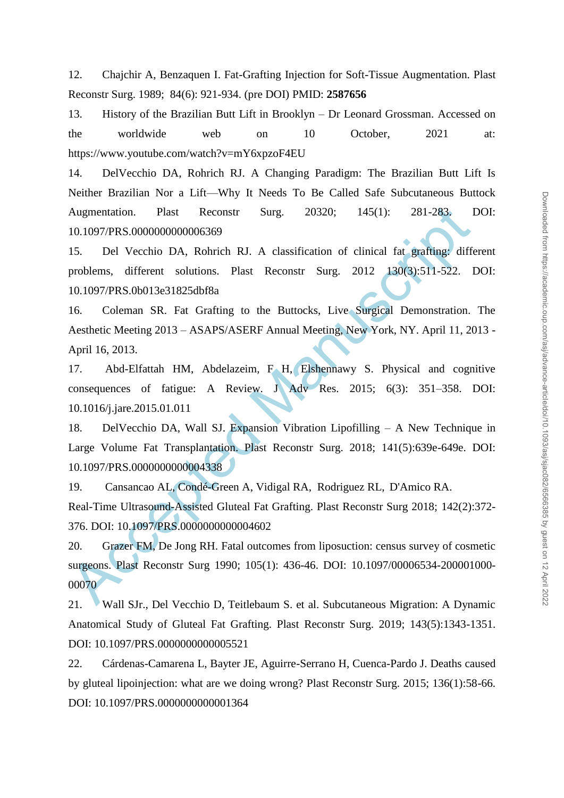12. Chajchir A, Benzaquen I. Fat-Grafting Injection for Soft-Tissue Augmentation. Plast Reconstr Surg. 1989; 84(6): 921-934. (pre DOI) PMID: **2587656**

13. History of the Brazilian Butt Lift in Brooklyn – Dr Leonard Grossman. Accessed on the worldwide web on 10 October, 2021 at: https://www.youtube.com/watch?v=mY6xpzoF4EU

14. DelVecchio DA, Rohrich RJ. A Changing Paradigm: The Brazilian Butt Lift Is Neither Brazilian Nor a Lift—Why It Needs To Be Called Safe Subcutaneous Buttock Augmentation. Plast Reconstr Surg. 20320; 145(1): 281-283. DOI: 10.1097/PRS.0000000000006369

15. Del Vecchio DA, Rohrich RJ. A classification of clinical fat grafting: different problems, different solutions. Plast Reconstr Surg. 2012 130(3):511-522. DOI: 10.1097/PRS.0b013e31825dbf8a

Augmentation. Plast Reconstr Surg. 20320; 145(1): 281-283. I<br>
10.1097/PRS.0000000000006369<br>
15. Del Vecchio DA, Rohrich RJ. A classification of clinical fat graffing: different<br>
problems, different solutions. Plast Reconst 16. Coleman SR. Fat Grafting to the Buttocks, Live Surgical Demonstration. The Aesthetic Meeting 2013 – ASAPS/ASERF Annual Meeting, New York, NY. April 11, 2013 - April 16, 2013.

17. Abd-Elfattah HM, Abdelazeim, F H, Elshennawy S. Physical and cognitive consequences of fatigue: A Review. J Adv Res. 2015; 6(3): 351–358. DOI: 10.1016/j.jare.2015.01.011

18. DelVecchio DA, Wall SJ. Expansion Vibration Lipofilling – A New Technique in Large Volume Fat Transplantation. Plast Reconstr Surg. 2018; 141(5):639e-649e. DOI: 10.1097/PRS.0000000000004338

19. Cansancao AL, Condé-Green A, Vidigal RA, Rodriguez RL, D'Amico RA.

Real-Time Ultrasound-Assisted Gluteal Fat Grafting. Plast Reconstr Surg 2018; 142(2):372- 376. DOI: 10.1097/PRS.0000000000004602

20. Grazer FM, De Jong RH. Fatal outcomes from liposuction: census survey of cosmetic surgeons. Plast Reconstr Surg 1990; 105(1): 436-46. DOI: 10.1097/00006534-200001000- 00070

21. Wall SJr., Del Vecchio D, Teitlebaum S. et al. Subcutaneous Migration: A Dynamic Anatomical Study of Gluteal Fat Grafting. Plast Reconstr Surg. 2019; 143(5):1343-1351. DOI: 10.1097/PRS.0000000000005521

22. Cárdenas-Camarena L, Bayter JE, Aguirre-Serrano H, Cuenca-Pardo J. Deaths caused by gluteal lipoinjection: what are we doing wrong? Plast Reconstr Surg. 2015; 136(1):58-66. DOI: 10.1097/PRS.0000000000001364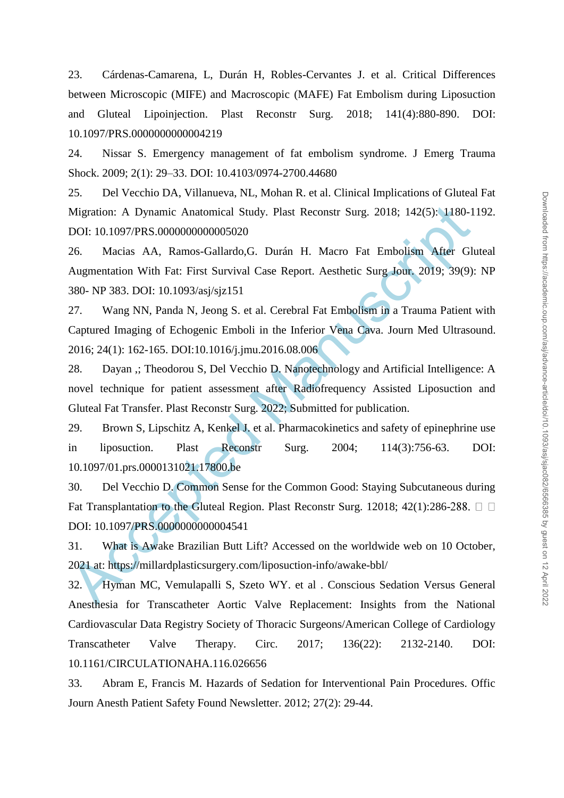23. Cárdenas-Camarena, L, Durán H, Robles-Cervantes J. et al. Critical Differences between Microscopic (MIFE) and Macroscopic (MAFE) Fat Embolism during Liposuction and Gluteal Lipoinjection. Plast Reconstr Surg. 2018; 141(4):880-890. DOI: 10.1097/PRS.0000000000004219

24. Nissar S. Emergency management of fat embolism syndrome. J Emerg Trauma Shock. 2009; 2(1): 29–33. DOI: 10.4103/0974-2700.44680

25. Del Vecchio DA, Villanueva, NL, Mohan R. et al. Clinical Implications of Gluteal Fat Migration: A Dynamic Anatomical Study. Plast Reconstr Surg. 2018; 142(5): 1180-1192. DOI: 10.1097/PRS.0000000000005020

26. Macias AA, Ramos-Gallardo,G. Durán H. Macro Fat Embolism After Gluteal Augmentation With Fat: First Survival Case Report. Aesthetic Surg Jour. 2019; 39(9): NP 380- NP 383. DOI: 10.1093/asj/sjz151

27. Wang NN, Panda N, Jeong S. et al. Cerebral Fat Embolism in a Trauma Patient with Captured Imaging of Echogenic Emboli in the Inferior Vena Cava. Journ Med Ultrasound. 2016; 24(1): 162-165. DOI:10.1016/j.jmu.2016.08.006

Migration: A Dynamic Anatomical Study. Plast Reconstr Surg. 2018; 142(5): 1180-1<br>DOI: 10.1097/PRS.00000000000005020<br>26. Macias AA, Ramos-Gallardo,G. Durán H. Macro Fat Embolism After Gli<br>Augmentation With Fat: First Surviv 28. Dayan ,; Theodorou S, Del Vecchio D. Nanotechnology and Artificial Intelligence: A novel technique for patient assessment after Radiofrequency Assisted Liposuction and Gluteal Fat Transfer. Plast Reconstr Surg. 2022; Submitted for publication.

29. Brown S, Lipschitz A, Kenkel J. et al. Pharmacokinetics and safety of epinephrine use in liposuction. Plast Reconstr Surg. 2004; 114(3):756-63. DOI: 10.1097/01.prs.0000131021.17800.be

30. Del Vecchio D. Common Sense for the Common Good: Staying Subcutaneous during Fat Transplantation to the Gluteal Region. Plast Reconstr Surg. 12018; 42(1):286-288.  $\Box$ DOI: 10.1097/PRS.0000000000004541

31. What is Awake Brazilian Butt Lift? Accessed on the worldwide web on 10 October, 2021 at: https://millardplasticsurgery.com/liposuction-info/awake-bbl/

32. Hyman MC, Vemulapalli S, Szeto WY. et al . Conscious Sedation Versus General Anesthesia for Transcatheter Aortic Valve Replacement: Insights from the National Cardiovascular Data Registry Society of Thoracic Surgeons/American College of Cardiology Transcatheter Valve Therapy. Circ. 2017; 136(22): 2132-2140. DOI: 10.1161/CIRCULATIONAHA.116.026656

33. Abram E, Francis M. Hazards of Sedation for Interventional Pain Procedures. Offic Journ Anesth Patient Safety Found Newsletter. 2012; 27(2): 29-44.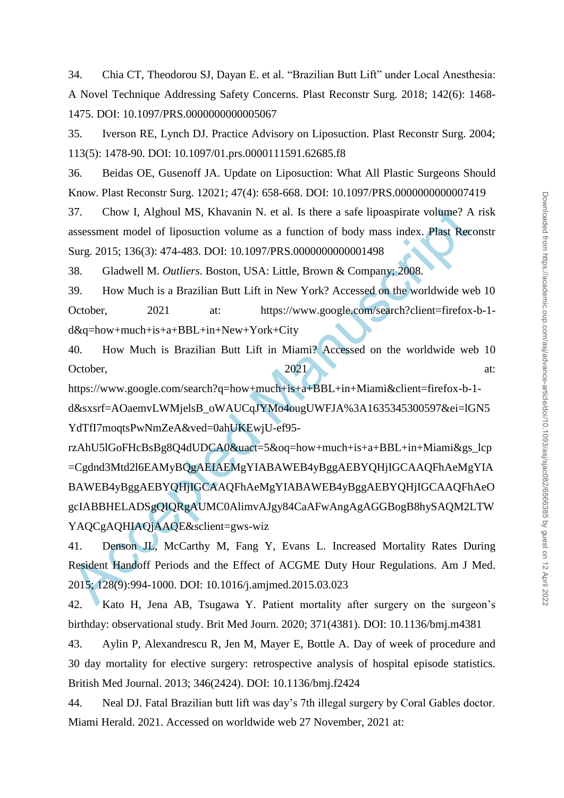34. Chia CT, Theodorou SJ, Dayan E. et al. "Brazilian Butt Lift" under Local Anesthesia: A Novel Technique Addressing Safety Concerns. Plast Reconstr Surg. 2018; 142(6): 1468- 1475. DOI: 10.1097/PRS.0000000000005067

35. Iverson RE, Lynch DJ. Practice Advisory on Liposuction. Plast Reconstr Surg. 2004; 113(5): 1478-90. DOI: 10.1097/01.prs.0000111591.62685.f8

36. Beidas OE, Gusenoff JA. Update on Liposuction: What All Plastic Surgeons Should Know. Plast Reconstr Surg. 12021; 47(4): 658-668. DOI: 10.1097/PRS.0000000000007419

37. Chow I, Alghoul MS, Khavanin N. et al. Is there a safe lipoaspirate volume? A risk assessment model of liposuction volume as a function of body mass index. Plast Reconstr Surg. 2015; 136(3): 474-483. DOI: 10.1097/PRS.0000000000001498

38. Gladwell M. *Outliers*. Boston, USA: Little, Brown & Company; 2008.

39. How Much is a Brazilian Butt Lift in New York? Accessed on the worldwide web 10 October, 2021 at: https://www.google.com/search?client=firefox-b-1d&q=how+much+is+a+BBL+in+New+York+City

40. How Much is Brazilian Butt Lift in Miami? Accessed on the worldwide web 10 October, at:  $2021$  at:

https://www.google.com/search?q=how+much+is+a+BBL+in+Miami&client=firefox-b-1 d&sxsrf=AOaemvLWMjelsB\_oWAUCqJYMo4ougUWFJA%3A1635345300597&ei=lGN5 YdTfI7moqtsPwNmZeA&ved=0ahUKEwjU-ef95-

37. Chow I, Alghoul MS, Khavanin N. et al. Is there a safe lipoaspirate volume? A<br>assessment model of liposucion volume as a function of body mass index. Plast Rece<br>Surg. 2015; 136(3): 474-483. DOI: 10.1097/PRS.0000000000 rzAhU5lGoFHcBsBg8Q4dUDCA0&uact=5&oq=how+much+is+a+BBL+in+Miami&gs\_lcp =Cgdnd3Mtd2l6EAMyBQgAEIAEMgYIABAWEB4yBggAEBYQHjIGCAAQFhAeMgYIA BAWEB4yBggAEBYQHjIGCAAQFhAeMgYIABAWEB4yBggAEBYQHjIGCAAQFhAeO gcIABBHELADSgQIQRgAUMC0AlimvAJgy84CaAFwAngAgAGGBogB8hySAQM2LTW YAQCgAQHIAQjAAQE&sclient=gws-wiz

41. Denson JL, McCarthy M, Fang Y, Evans L. Increased Mortality Rates During Resident Handoff Periods and the Effect of ACGME Duty Hour Regulations. Am J Med. 2015; 128(9):994-1000. DOI: 10.1016/j.amjmed.2015.03.023

42. Kato H, Jena AB, Tsugawa Y. Patient mortality after surgery on the surgeon's birthday: observational study. Brit Med Journ. 2020; 371(4381). DOI: 10.1136/bmj.m4381

43. Aylin P, Alexandrescu R, Jen M, Mayer E, Bottle A. Day of week of procedure and 30 day mortality for elective surgery: retrospective analysis of hospital episode statistics. British Med Journal. 2013; 346(2424). DOI: 10.1136/bmj.f2424

44. Neal DJ. Fatal Brazilian butt lift was day's 7th illegal surgery by Coral Gables doctor. Miami Herald. 2021. Accessed on worldwide web 27 November, 2021 at: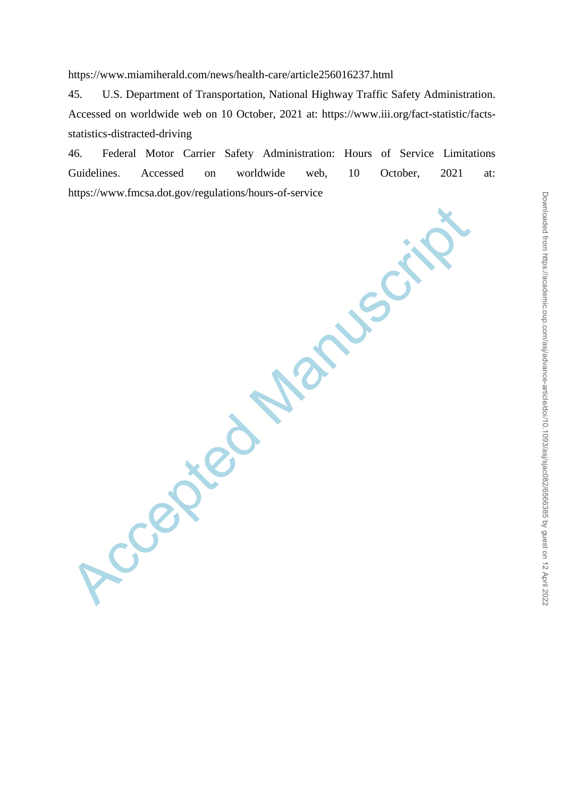https://www.miamiherald.com/news/health-care/article256016237.html

45. U.S. Department of Transportation, National Highway Traffic Safety Administration. Accessed on worldwide web on 10 October, 2021 at: https://www.iii.org/fact-statistic/factsstatistics-distracted-driving

46. Federal Motor Carrier Safety Administration: Hours of Service Limitations Guidelines. Accessed on worldwide web, 10 October, 2021 at: https://www.fmcsa.dot.gov/regulations/hours-of-service

Accepted Manuscript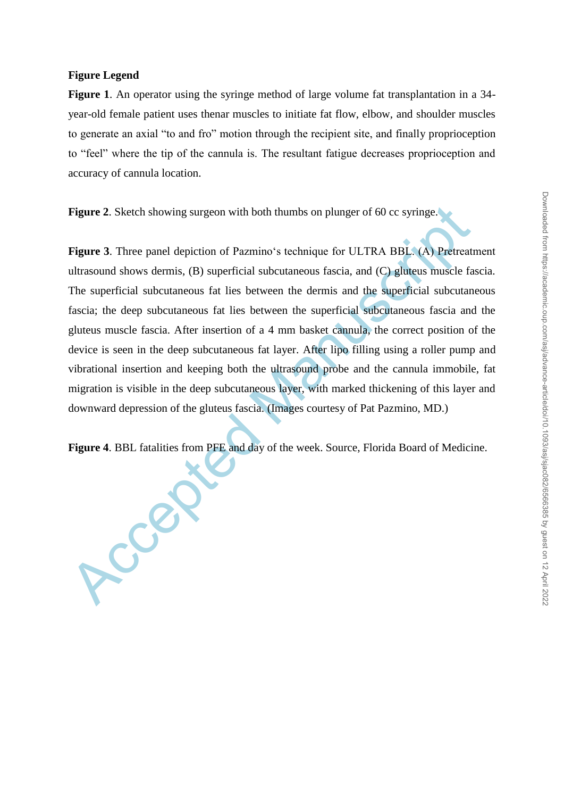# **Figure Legend**

**Figure 1**. An operator using the syringe method of large volume fat transplantation in a 34 year-old female patient uses thenar muscles to initiate fat flow, elbow, and shoulder muscles to generate an axial "to and fro" motion through the recipient site, and finally proprioception to "feel" where the tip of the cannula is. The resultant fatigue decreases proprioception and accuracy of cannula location.

**Figure 2.** Sketch showing surgeon with both thumbs on plunger of 60 cc syringe.

**Figure 3.** Three panel depiction of Pazmino's technique for ULTRA BBL. (A) Pretreatment ultrasound shows dermis, (B) superficial subcutaneous fascia, and (C) gluteus muscle fascia. The superficial subcutaneous fat lies between the dermis and the superficial subcutaneous fascia; the deep subcutaneous fat lies between the superficial subcutaneous fascia and the gluteus muscle fascia. After insertion of a 4 mm basket cannula, the correct position of the device is seen in the deep subcutaneous fat layer. After lipo filling using a roller pump and vibrational insertion and keeping both the ultrasound probe and the cannula immobile, fat migration is visible in the deep subcutaneous layer, with marked thickening of this layer and downward depression of the gluteus fascia. (Images courtesy of Pat Pazmino, MD.)

**Figure 4**. BBL fatalities from PFE and day of the week. Source, Florida Board of Medicine.

Accept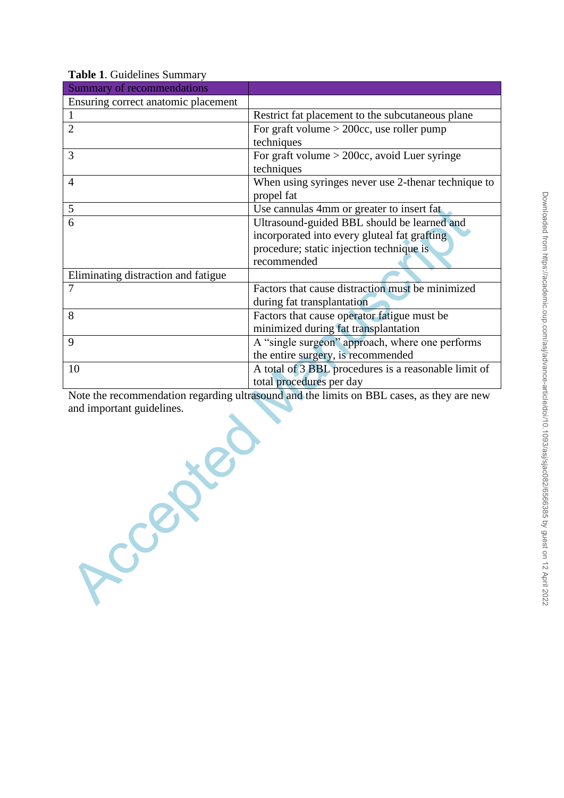| <b>Summary of recommendations</b>   |                                                                                           |
|-------------------------------------|-------------------------------------------------------------------------------------------|
| Ensuring correct anatomic placement |                                                                                           |
| $\mathbf{1}$                        | Restrict fat placement to the subcutaneous plane                                          |
| $\overline{2}$                      | For graft volume $> 200$ cc, use roller pump                                              |
|                                     | techniques                                                                                |
| 3                                   | For graft volume $>$ 200 $cc$ , avoid Luer syringe                                        |
|                                     | techniques                                                                                |
| $\overline{4}$                      | When using syringes never use 2-thenar technique to                                       |
|                                     | propel fat                                                                                |
| 5                                   | Use cannulas 4mm or greater to insert fat                                                 |
| 6                                   | Ultrasound-guided BBL should be learned and                                               |
|                                     | incorporated into every gluteal fat grafting                                              |
|                                     | procedure; static injection technique is                                                  |
|                                     | recommended                                                                               |
| Eliminating distraction and fatigue |                                                                                           |
| 7                                   | Factors that cause distraction must be minimized                                          |
|                                     | during fat transplantation                                                                |
| 8                                   | Factors that cause operator fatigue must be                                               |
|                                     | minimized during fat transplantation                                                      |
| 9                                   | A "single surgeon" approach, where one performs                                           |
|                                     | the entire surgery, is recommended                                                        |
| 10                                  | A total of 3 BBL procedures is a reasonable limit of                                      |
|                                     | total procedures per day                                                                  |
|                                     | Note the recommendation regarding ultrasound and the limits on BBL cases, as they are new |
| and important guidelines.           |                                                                                           |
|                                     |                                                                                           |
| <b>TRIP</b>                         |                                                                                           |
|                                     |                                                                                           |
|                                     |                                                                                           |
|                                     |                                                                                           |
|                                     |                                                                                           |
|                                     |                                                                                           |
|                                     |                                                                                           |
|                                     |                                                                                           |
|                                     |                                                                                           |
|                                     |                                                                                           |
|                                     |                                                                                           |
|                                     |                                                                                           |
| Lecer                               |                                                                                           |

**Table 1**. Guidelines Summary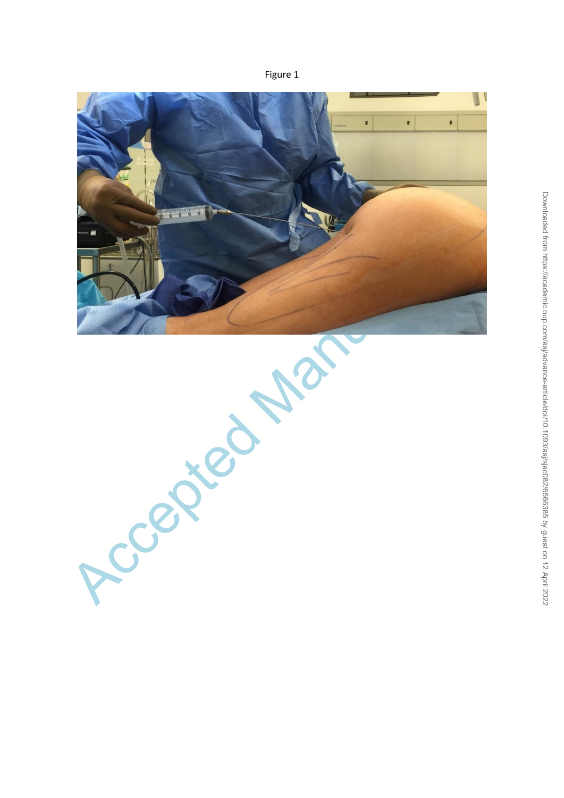Figure 1



Accepted Man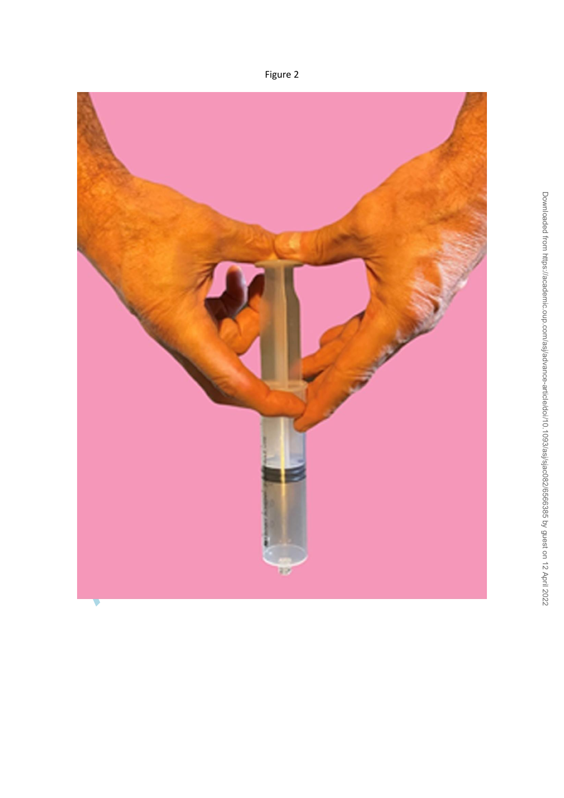

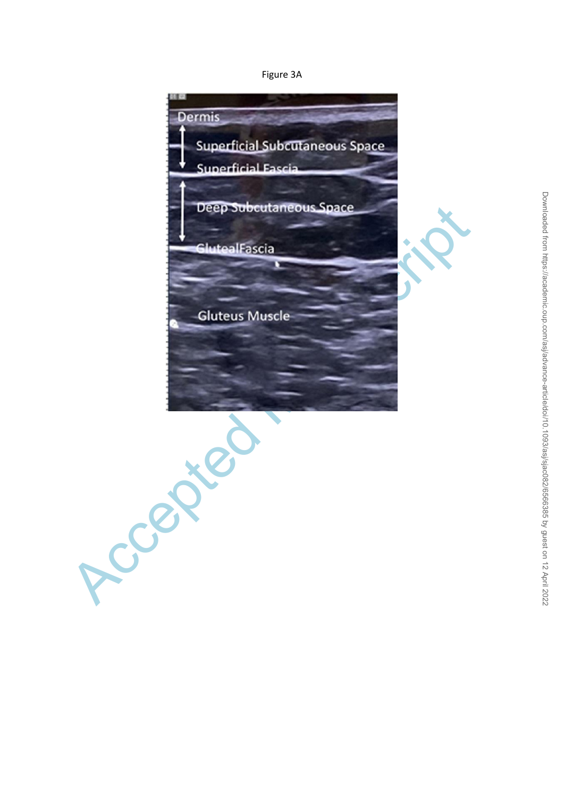Figure 3A

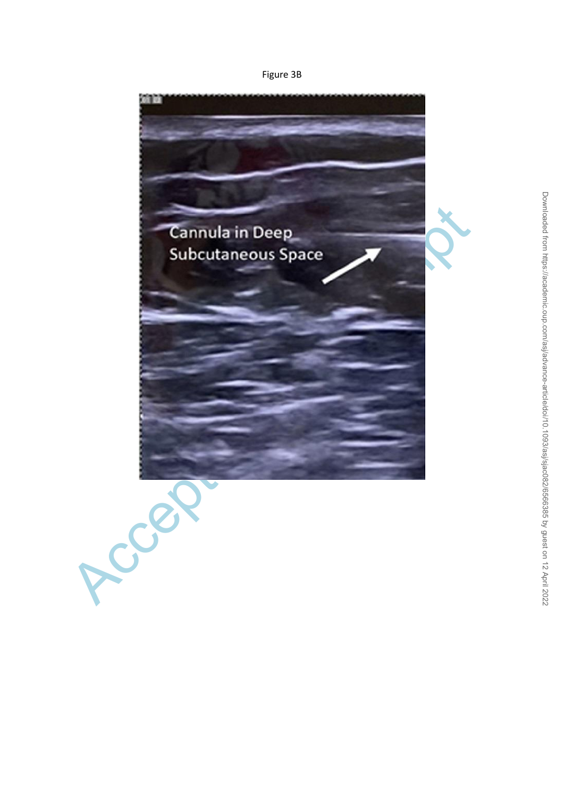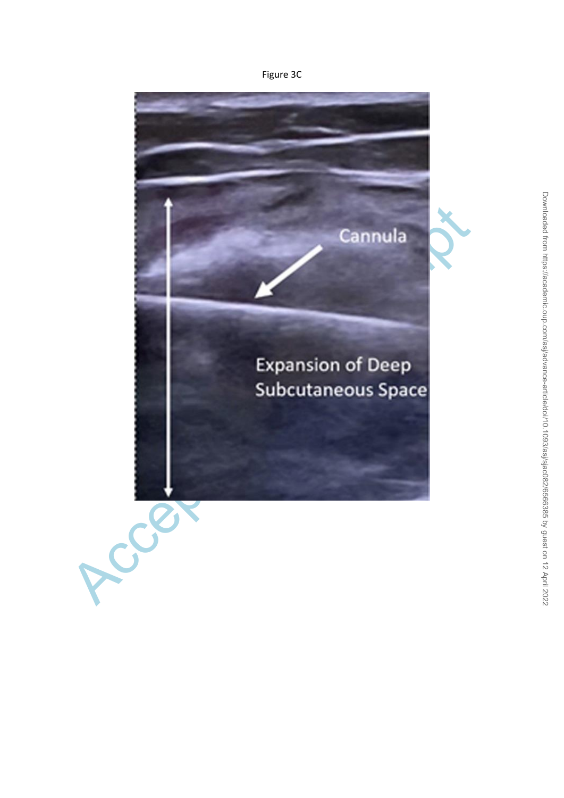